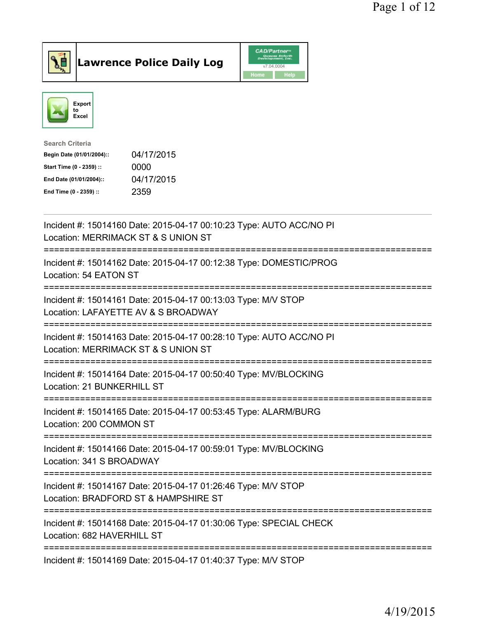



| <b>Search Criteria</b>           |            |
|----------------------------------|------------|
| Begin Date (01/01/2004)::        | 04/17/2015 |
| 0000<br>Start Time (0 - 2359) :: |            |
| End Date (01/01/2004)::          | 04/17/2015 |
| 2359<br>End Time (0 - 2359) ::   |            |

| Incident #: 15014160 Date: 2015-04-17 00:10:23 Type: AUTO ACC/NO PI<br>Location: MERRIMACK ST & S UNION ST                                |
|-------------------------------------------------------------------------------------------------------------------------------------------|
| Incident #: 15014162 Date: 2015-04-17 00:12:38 Type: DOMESTIC/PROG<br>Location: 54 EATON ST                                               |
| Incident #: 15014161 Date: 2015-04-17 00:13:03 Type: M/V STOP<br>Location: LAFAYETTE AV & S BROADWAY<br>========================          |
| Incident #: 15014163 Date: 2015-04-17 00:28:10 Type: AUTO ACC/NO PI<br>Location: MERRIMACK ST & S UNION ST<br>------------------          |
| Incident #: 15014164 Date: 2015-04-17 00:50:40 Type: MV/BLOCKING<br>Location: 21 BUNKERHILL ST<br>======================                  |
| Incident #: 15014165 Date: 2015-04-17 00:53:45 Type: ALARM/BURG<br>Location: 200 COMMON ST                                                |
| ========================<br>Incident #: 15014166 Date: 2015-04-17 00:59:01 Type: MV/BLOCKING<br>Location: 341 S BROADWAY<br>------------- |
| Incident #: 15014167 Date: 2015-04-17 01:26:46 Type: M/V STOP<br>Location: BRADFORD ST & HAMPSHIRE ST                                     |
| Incident #: 15014168 Date: 2015-04-17 01:30:06 Type: SPECIAL CHECK<br>Location: 682 HAVERHILL ST                                          |
| Incident #: 15014169 Date: 2015-04-17 01:40:37 Type: M/V STOP                                                                             |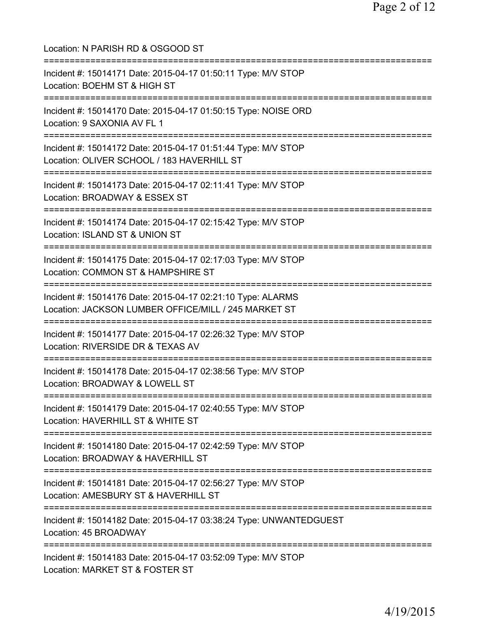| Location: N PARISH RD & OSGOOD ST                                                                                                                                  |
|--------------------------------------------------------------------------------------------------------------------------------------------------------------------|
| Incident #: 15014171 Date: 2015-04-17 01:50:11 Type: M/V STOP<br>Location: BOEHM ST & HIGH ST                                                                      |
| Incident #: 15014170 Date: 2015-04-17 01:50:15 Type: NOISE ORD<br>Location: 9 SAXONIA AV FL 1                                                                      |
| Incident #: 15014172 Date: 2015-04-17 01:51:44 Type: M/V STOP<br>Location: OLIVER SCHOOL / 183 HAVERHILL ST                                                        |
| Incident #: 15014173 Date: 2015-04-17 02:11:41 Type: M/V STOP<br>Location: BROADWAY & ESSEX ST<br>====================                                             |
| Incident #: 15014174 Date: 2015-04-17 02:15:42 Type: M/V STOP<br>Location: ISLAND ST & UNION ST                                                                    |
| ========================<br>Incident #: 15014175 Date: 2015-04-17 02:17:03 Type: M/V STOP<br>Location: COMMON ST & HAMPSHIRE ST<br>=============================== |
| Incident #: 15014176 Date: 2015-04-17 02:21:10 Type: ALARMS<br>Location: JACKSON LUMBER OFFICE/MILL / 245 MARKET ST<br>======================================      |
| Incident #: 15014177 Date: 2015-04-17 02:26:32 Type: M/V STOP<br>Location: RIVERSIDE DR & TEXAS AV<br>============================                                 |
| Incident #: 15014178 Date: 2015-04-17 02:38:56 Type: M/V STOP<br>Location: BROADWAY & LOWELL ST<br>------------------------------                                  |
| Incident #: 15014179 Date: 2015-04-17 02:40:55 Type: M/V STOP<br>Location: HAVERHILL ST & WHITE ST                                                                 |
| ======================================<br>Incident #: 15014180 Date: 2015-04-17 02:42:59 Type: M/V STOP<br>Location: BROADWAY & HAVERHILL ST                       |
| ;===============================<br>Incident #: 15014181 Date: 2015-04-17 02:56:27 Type: M/V STOP<br>Location: AMESBURY ST & HAVERHILL ST                          |
| Incident #: 15014182 Date: 2015-04-17 03:38:24 Type: UNWANTEDGUEST<br>Location: 45 BROADWAY                                                                        |
| Incident #: 15014183 Date: 2015-04-17 03:52:09 Type: M/V STOP<br>Location: MARKET ST & FOSTER ST                                                                   |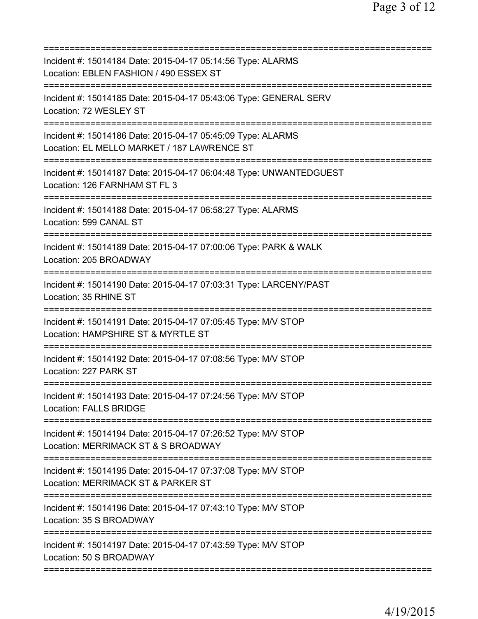| Incident #: 15014184 Date: 2015-04-17 05:14:56 Type: ALARMS<br>Location: EBLEN FASHION / 490 ESSEX ST      |
|------------------------------------------------------------------------------------------------------------|
| Incident #: 15014185 Date: 2015-04-17 05:43:06 Type: GENERAL SERV<br>Location: 72 WESLEY ST                |
| Incident #: 15014186 Date: 2015-04-17 05:45:09 Type: ALARMS<br>Location: EL MELLO MARKET / 187 LAWRENCE ST |
| Incident #: 15014187 Date: 2015-04-17 06:04:48 Type: UNWANTEDGUEST<br>Location: 126 FARNHAM ST FL 3        |
| Incident #: 15014188 Date: 2015-04-17 06:58:27 Type: ALARMS<br>Location: 599 CANAL ST                      |
| Incident #: 15014189 Date: 2015-04-17 07:00:06 Type: PARK & WALK<br>Location: 205 BROADWAY                 |
| Incident #: 15014190 Date: 2015-04-17 07:03:31 Type: LARCENY/PAST<br>Location: 35 RHINE ST                 |
| Incident #: 15014191 Date: 2015-04-17 07:05:45 Type: M/V STOP<br>Location: HAMPSHIRE ST & MYRTLE ST        |
| Incident #: 15014192 Date: 2015-04-17 07:08:56 Type: M/V STOP<br>Location: 227 PARK ST                     |
| Incident #: 15014193 Date: 2015-04-17 07:24:56 Type: M/V STOP<br><b>Location: FALLS BRIDGE</b>             |
| Incident #: 15014194 Date: 2015-04-17 07:26:52 Type: M/V STOP<br>Location: MERRIMACK ST & S BROADWAY       |
| Incident #: 15014195 Date: 2015-04-17 07:37:08 Type: M/V STOP<br>Location: MERRIMACK ST & PARKER ST        |
| Incident #: 15014196 Date: 2015-04-17 07:43:10 Type: M/V STOP<br>Location: 35 S BROADWAY                   |
| Incident #: 15014197 Date: 2015-04-17 07:43:59 Type: M/V STOP<br>Location: 50 S BROADWAY                   |
|                                                                                                            |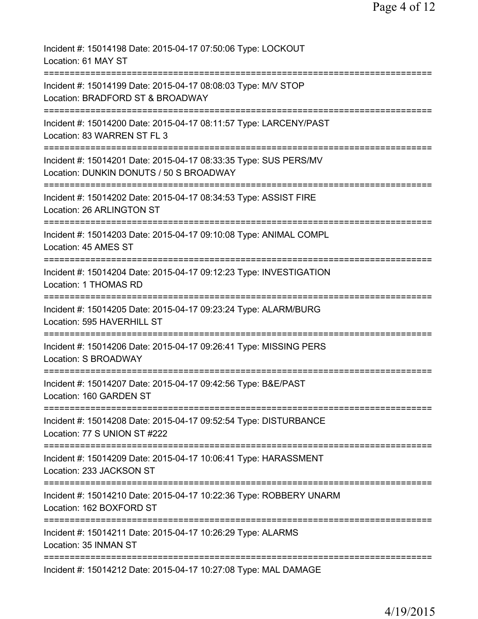| Incident #: 15014198 Date: 2015-04-17 07:50:06 Type: LOCKOUT<br>Location: 61 MAY ST                                                 |
|-------------------------------------------------------------------------------------------------------------------------------------|
| Incident #: 15014199 Date: 2015-04-17 08:08:03 Type: M/V STOP<br>Location: BRADFORD ST & BROADWAY                                   |
| Incident #: 15014200 Date: 2015-04-17 08:11:57 Type: LARCENY/PAST<br>Location: 83 WARREN ST FL 3                                    |
| Incident #: 15014201 Date: 2015-04-17 08:33:35 Type: SUS PERS/MV<br>Location: DUNKIN DONUTS / 50 S BROADWAY                         |
| ==========================<br>Incident #: 15014202 Date: 2015-04-17 08:34:53 Type: ASSIST FIRE<br>Location: 26 ARLINGTON ST         |
| Incident #: 15014203 Date: 2015-04-17 09:10:08 Type: ANIMAL COMPL<br>Location: 45 AMES ST                                           |
| Incident #: 15014204 Date: 2015-04-17 09:12:23 Type: INVESTIGATION<br>Location: 1 THOMAS RD                                         |
| ==================================<br>Incident #: 15014205 Date: 2015-04-17 09:23:24 Type: ALARM/BURG<br>Location: 595 HAVERHILL ST |
| Incident #: 15014206 Date: 2015-04-17 09:26:41 Type: MISSING PERS<br>Location: S BROADWAY                                           |
| Incident #: 15014207 Date: 2015-04-17 09:42:56 Type: B&E/PAST<br>Location: 160 GARDEN ST                                            |
| Incident #: 15014208 Date: 2015-04-17 09:52:54 Type: DISTURBANCE<br>Location: 77 S UNION ST #222                                    |
| Incident #: 15014209 Date: 2015-04-17 10:06:41 Type: HARASSMENT<br>Location: 233 JACKSON ST                                         |
| Incident #: 15014210 Date: 2015-04-17 10:22:36 Type: ROBBERY UNARM<br>Location: 162 BOXFORD ST                                      |
| Incident #: 15014211 Date: 2015-04-17 10:26:29 Type: ALARMS<br>Location: 35 INMAN ST                                                |
| Incident #: 15014212 Date: 2015-04-17 10:27:08 Type: MAL DAMAGE                                                                     |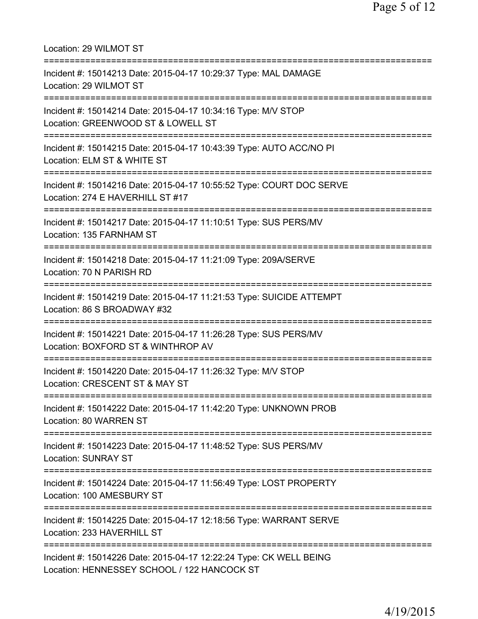| Location: 29 WILMOT ST                                                                                                             |
|------------------------------------------------------------------------------------------------------------------------------------|
| Incident #: 15014213 Date: 2015-04-17 10:29:37 Type: MAL DAMAGE<br>Location: 29 WILMOT ST                                          |
| Incident #: 15014214 Date: 2015-04-17 10:34:16 Type: M/V STOP<br>Location: GREENWOOD ST & LOWELL ST<br>=========================== |
| Incident #: 15014215 Date: 2015-04-17 10:43:39 Type: AUTO ACC/NO PI<br>Location: ELM ST & WHITE ST                                 |
| Incident #: 15014216 Date: 2015-04-17 10:55:52 Type: COURT DOC SERVE<br>Location: 274 E HAVERHILL ST #17                           |
| Incident #: 15014217 Date: 2015-04-17 11:10:51 Type: SUS PERS/MV<br>Location: 135 FARNHAM ST                                       |
| Incident #: 15014218 Date: 2015-04-17 11:21:09 Type: 209A/SERVE<br>Location: 70 N PARISH RD                                        |
| Incident #: 15014219 Date: 2015-04-17 11:21:53 Type: SUICIDE ATTEMPT<br>Location: 86 S BROADWAY #32                                |
| Incident #: 15014221 Date: 2015-04-17 11:26:28 Type: SUS PERS/MV<br>Location: BOXFORD ST & WINTHROP AV                             |
| Incident #: 15014220 Date: 2015-04-17 11:26:32 Type: M/V STOP<br>Location: CRESCENT ST & MAY ST                                    |
| Incident #: 15014222 Date: 2015-04-17 11:42:20 Type: UNKNOWN PROB<br>Location: 80 WARREN ST                                        |
| Incident #: 15014223 Date: 2015-04-17 11:48:52 Type: SUS PERS/MV<br><b>Location: SUNRAY ST</b>                                     |
| Incident #: 15014224 Date: 2015-04-17 11:56:49 Type: LOST PROPERTY<br>Location: 100 AMESBURY ST                                    |
| Incident #: 15014225 Date: 2015-04-17 12:18:56 Type: WARRANT SERVE<br>Location: 233 HAVERHILL ST                                   |
| Incident #: 15014226 Date: 2015-04-17 12:22:24 Type: CK WELL BEING<br>Location: HENNESSEY SCHOOL / 122 HANCOCK ST                  |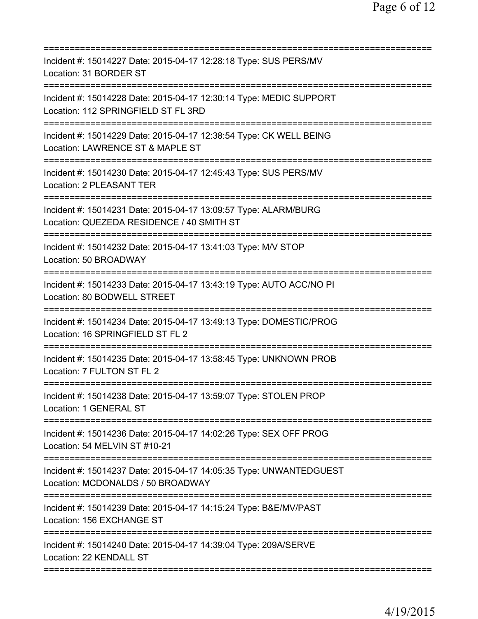| Incident #: 15014227 Date: 2015-04-17 12:28:18 Type: SUS PERS/MV<br>Location: 31 BORDER ST                               |
|--------------------------------------------------------------------------------------------------------------------------|
| Incident #: 15014228 Date: 2015-04-17 12:30:14 Type: MEDIC SUPPORT<br>Location: 112 SPRINGFIELD ST FL 3RD                |
| Incident #: 15014229 Date: 2015-04-17 12:38:54 Type: CK WELL BEING<br>Location: LAWRENCE ST & MAPLE ST                   |
| Incident #: 15014230 Date: 2015-04-17 12:45:43 Type: SUS PERS/MV<br>Location: 2 PLEASANT TER                             |
| Incident #: 15014231 Date: 2015-04-17 13:09:57 Type: ALARM/BURG<br>Location: QUEZEDA RESIDENCE / 40 SMITH ST             |
| Incident #: 15014232 Date: 2015-04-17 13:41:03 Type: M/V STOP<br>Location: 50 BROADWAY                                   |
| Incident #: 15014233 Date: 2015-04-17 13:43:19 Type: AUTO ACC/NO PI<br>Location: 80 BODWELL STREET<br>:===========       |
| Incident #: 15014234 Date: 2015-04-17 13:49:13 Type: DOMESTIC/PROG<br>Location: 16 SPRINGFIELD ST FL 2<br>============== |
| Incident #: 15014235 Date: 2015-04-17 13:58:45 Type: UNKNOWN PROB<br>Location: 7 FULTON ST FL 2                          |
| Incident #: 15014238 Date: 2015-04-17 13:59:07 Type: STOLEN PROP<br>Location: 1 GENERAL ST                               |
| Incident #: 15014236 Date: 2015-04-17 14:02:26 Type: SEX OFF PROG<br>Location: 54 MELVIN ST #10-21                       |
| Incident #: 15014237 Date: 2015-04-17 14:05:35 Type: UNWANTEDGUEST<br>Location: MCDONALDS / 50 BROADWAY                  |
| Incident #: 15014239 Date: 2015-04-17 14:15:24 Type: B&E/MV/PAST<br>Location: 156 EXCHANGE ST                            |
| Incident #: 15014240 Date: 2015-04-17 14:39:04 Type: 209A/SERVE<br>Location: 22 KENDALL ST                               |
|                                                                                                                          |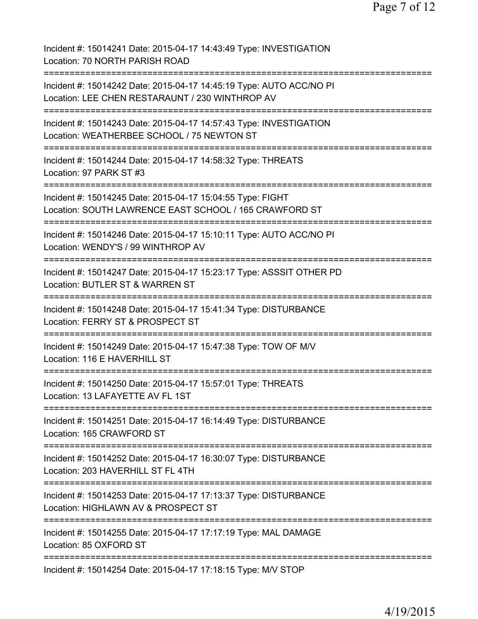Page 7 of 12

Incident #: 15014241 Date: 2015-04-17 14:43:49 Type: INVESTIGATION Location: 70 NORTH PARISH ROAD =========================================================================== Incident #: 15014242 Date: 2015-04-17 14:45:19 Type: AUTO ACC/NO PI Location: LEE CHEN RESTARAUNT / 230 WINTHROP AV =========================================================================== Incident #: 15014243 Date: 2015-04-17 14:57:43 Type: INVESTIGATION Location: WEATHERBEE SCHOOL / 75 NEWTON ST =========================================================================== Incident #: 15014244 Date: 2015-04-17 14:58:32 Type: THREATS Location: 97 PARK ST #3 =========================================================================== Incident #: 15014245 Date: 2015-04-17 15:04:55 Type: FIGHT Location: SOUTH LAWRENCE EAST SCHOOL / 165 CRAWFORD ST =========================================================================== Incident #: 15014246 Date: 2015-04-17 15:10:11 Type: AUTO ACC/NO PI Location: WENDY'S / 99 WINTHROP AV =========================================================================== Incident #: 15014247 Date: 2015-04-17 15:23:17 Type: ASSSIT OTHER PD Location: BUTLER ST & WARREN ST =========================================================================== Incident #: 15014248 Date: 2015-04-17 15:41:34 Type: DISTURBANCE Location: FERRY ST & PROSPECT ST =========================================================================== Incident #: 15014249 Date: 2015-04-17 15:47:38 Type: TOW OF M/V Location: 116 E HAVERHILL ST =========================================================================== Incident #: 15014250 Date: 2015-04-17 15:57:01 Type: THREATS Location: 13 LAFAYETTE AV FL 1ST =========================================================================== Incident #: 15014251 Date: 2015-04-17 16:14:49 Type: DISTURBANCE Location: 165 CRAWFORD ST =========================================================================== Incident #: 15014252 Date: 2015-04-17 16:30:07 Type: DISTURBANCE Location: 203 HAVERHILL ST FL 4TH =========================================================================== Incident #: 15014253 Date: 2015-04-17 17:13:37 Type: DISTURBANCE Location: HIGHLAWN AV & PROSPECT ST =========================================================================== Incident #: 15014255 Date: 2015-04-17 17:17:19 Type: MAL DAMAGE Location: 85 OXFORD ST =========================================================================== Incident #: 15014254 Date: 2015-04-17 17:18:15 Type: M/V STOP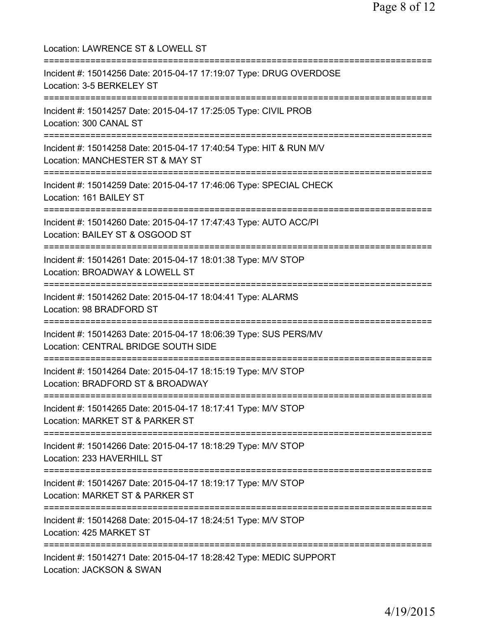Location: LAWRENCE ST & LOWELL ST =========================================================================== Incident #: 15014256 Date: 2015-04-17 17:19:07 Type: DRUG OVERDOSE Location: 3-5 BERKELEY ST =========================================================================== Incident #: 15014257 Date: 2015-04-17 17:25:05 Type: CIVIL PROB Location: 300 CANAL ST =========================================================================== Incident #: 15014258 Date: 2015-04-17 17:40:54 Type: HIT & RUN M/V Location: MANCHESTER ST & MAY ST =========================================================================== Incident #: 15014259 Date: 2015-04-17 17:46:06 Type: SPECIAL CHECK Location: 161 BAILEY ST =========================================================================== Incident #: 15014260 Date: 2015-04-17 17:47:43 Type: AUTO ACC/PI Location: BAILEY ST & OSGOOD ST =========================================================================== Incident #: 15014261 Date: 2015-04-17 18:01:38 Type: M/V STOP Location: BROADWAY & LOWELL ST =========================================================================== Incident #: 15014262 Date: 2015-04-17 18:04:41 Type: ALARMS Location: 98 BRADFORD ST =========================================================================== Incident #: 15014263 Date: 2015-04-17 18:06:39 Type: SUS PERS/MV Location: CENTRAL BRIDGE SOUTH SIDE =========================================================================== Incident #: 15014264 Date: 2015-04-17 18:15:19 Type: M/V STOP Location: BRADFORD ST & BROADWAY =========================================================================== Incident #: 15014265 Date: 2015-04-17 18:17:41 Type: M/V STOP Location: MARKET ST & PARKER ST =========================================================================== Incident #: 15014266 Date: 2015-04-17 18:18:29 Type: M/V STOP Location: 233 HAVERHILL ST =========================================================================== Incident #: 15014267 Date: 2015-04-17 18:19:17 Type: M/V STOP Location: MARKET ST & PARKER ST =========================================================================== Incident #: 15014268 Date: 2015-04-17 18:24:51 Type: M/V STOP Location: 425 MARKET ST =========================================================================== Incident #: 15014271 Date: 2015-04-17 18:28:42 Type: MEDIC SUPPORT Location: JACKSON & SWAN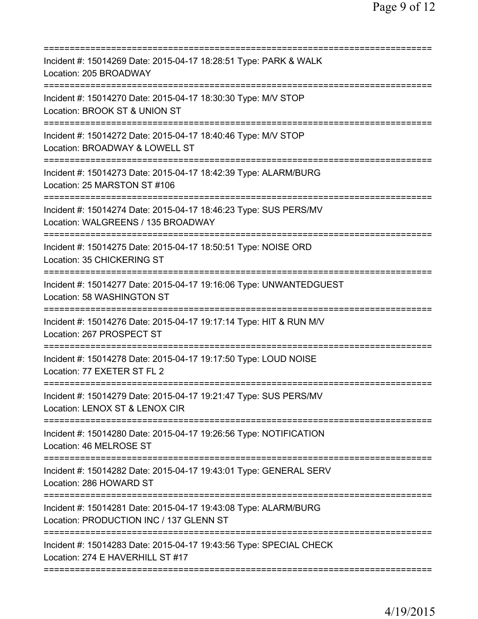| Incident #: 15014269 Date: 2015-04-17 18:28:51 Type: PARK & WALK<br>Location: 205 BROADWAY                                               |
|------------------------------------------------------------------------------------------------------------------------------------------|
| Incident #: 15014270 Date: 2015-04-17 18:30:30 Type: M/V STOP<br>Location: BROOK ST & UNION ST                                           |
| Incident #: 15014272 Date: 2015-04-17 18:40:46 Type: M/V STOP<br>Location: BROADWAY & LOWELL ST                                          |
| Incident #: 15014273 Date: 2015-04-17 18:42:39 Type: ALARM/BURG<br>Location: 25 MARSTON ST #106                                          |
| Incident #: 15014274 Date: 2015-04-17 18:46:23 Type: SUS PERS/MV<br>Location: WALGREENS / 135 BROADWAY                                   |
| Incident #: 15014275 Date: 2015-04-17 18:50:51 Type: NOISE ORD<br>Location: 35 CHICKERING ST                                             |
| Incident #: 15014277 Date: 2015-04-17 19:16:06 Type: UNWANTEDGUEST<br>Location: 58 WASHINGTON ST<br>=========                            |
| Incident #: 15014276 Date: 2015-04-17 19:17:14 Type: HIT & RUN M/V<br>Location: 267 PROSPECT ST<br>------------------------------------- |
| Incident #: 15014278 Date: 2015-04-17 19:17:50 Type: LOUD NOISE<br>Location: 77 EXETER ST FL 2                                           |
| Incident #: 15014279 Date: 2015-04-17 19:21:47 Type: SUS PERS/MV<br>Location: LENOX ST & LENOX CIR                                       |
| Incident #: 15014280 Date: 2015-04-17 19:26:56 Type: NOTIFICATION<br>Location: 46 MELROSE ST                                             |
| Incident #: 15014282 Date: 2015-04-17 19:43:01 Type: GENERAL SERV<br>Location: 286 HOWARD ST                                             |
| Incident #: 15014281 Date: 2015-04-17 19:43:08 Type: ALARM/BURG<br>Location: PRODUCTION INC / 137 GLENN ST                               |
| Incident #: 15014283 Date: 2015-04-17 19:43:56 Type: SPECIAL CHECK<br>Location: 274 E HAVERHILL ST #17                                   |
|                                                                                                                                          |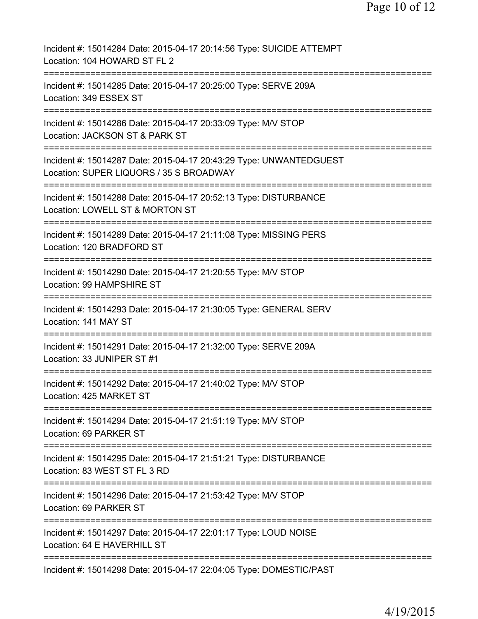| Incident #: 15014284 Date: 2015-04-17 20:14:56 Type: SUICIDE ATTEMPT<br>Location: 104 HOWARD ST FL 2                                     |
|------------------------------------------------------------------------------------------------------------------------------------------|
| Incident #: 15014285 Date: 2015-04-17 20:25:00 Type: SERVE 209A<br>Location: 349 ESSEX ST                                                |
| Incident #: 15014286 Date: 2015-04-17 20:33:09 Type: M/V STOP<br>Location: JACKSON ST & PARK ST                                          |
| Incident #: 15014287 Date: 2015-04-17 20:43:29 Type: UNWANTEDGUEST<br>Location: SUPER LIQUORS / 35 S BROADWAY                            |
| Incident #: 15014288 Date: 2015-04-17 20:52:13 Type: DISTURBANCE<br>Location: LOWELL ST & MORTON ST                                      |
| :=========================<br>========<br>Incident #: 15014289 Date: 2015-04-17 21:11:08 Type: MISSING PERS<br>Location: 120 BRADFORD ST |
| Incident #: 15014290 Date: 2015-04-17 21:20:55 Type: M/V STOP<br>Location: 99 HAMPSHIRE ST                                               |
| ===============<br>Incident #: 15014293 Date: 2015-04-17 21:30:05 Type: GENERAL SERV<br>Location: 141 MAY ST                             |
| Incident #: 15014291 Date: 2015-04-17 21:32:00 Type: SERVE 209A<br>Location: 33 JUNIPER ST #1                                            |
| Incident #: 15014292 Date: 2015-04-17 21:40:02 Type: M/V STOP<br>Location: 425 MARKET ST                                                 |
| Incident #: 15014294 Date: 2015-04-17 21:51:19 Type: M/V STOP<br>Location: 69 PARKER ST                                                  |
| ============================<br>Incident #: 15014295 Date: 2015-04-17 21:51:21 Type: DISTURBANCE<br>Location: 83 WEST ST FL 3 RD         |
| Incident #: 15014296 Date: 2015-04-17 21:53:42 Type: M/V STOP<br>Location: 69 PARKER ST                                                  |
| Incident #: 15014297 Date: 2015-04-17 22:01:17 Type: LOUD NOISE<br>Location: 64 E HAVERHILL ST                                           |
| Incident #: 15014298 Date: 2015-04-17 22:04:05 Type: DOMESTIC/PAST                                                                       |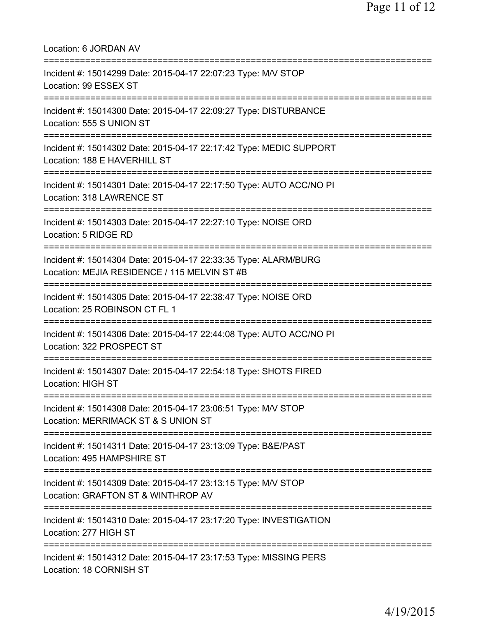| Location: 6 JORDAN AV<br>===================================                                                                                  |
|-----------------------------------------------------------------------------------------------------------------------------------------------|
| Incident #: 15014299 Date: 2015-04-17 22:07:23 Type: M/V STOP<br>Location: 99 ESSEX ST<br>====================================                |
| Incident #: 15014300 Date: 2015-04-17 22:09:27 Type: DISTURBANCE<br>Location: 555 S UNION ST<br>=====================================         |
| Incident #: 15014302 Date: 2015-04-17 22:17:42 Type: MEDIC SUPPORT<br>Location: 188 E HAVERHILL ST                                            |
| Incident #: 15014301 Date: 2015-04-17 22:17:50 Type: AUTO ACC/NO PI<br>Location: 318 LAWRENCE ST                                              |
| Incident #: 15014303 Date: 2015-04-17 22:27:10 Type: NOISE ORD<br>Location: 5 RIDGE RD                                                        |
| Incident #: 15014304 Date: 2015-04-17 22:33:35 Type: ALARM/BURG<br>Location: MEJIA RESIDENCE / 115 MELVIN ST #B                               |
| Incident #: 15014305 Date: 2015-04-17 22:38:47 Type: NOISE ORD<br>Location: 25 ROBINSON CT FL 1                                               |
| Incident #: 15014306 Date: 2015-04-17 22:44:08 Type: AUTO ACC/NO PI<br>Location: 322 PROSPECT ST                                              |
| Incident #: 15014307 Date: 2015-04-17 22:54:18 Type: SHOTS FIRED<br><b>Location: HIGH ST</b>                                                  |
| =====================================<br>Incident #: 15014308 Date: 2015-04-17 23:06:51 Type: M/V STOP<br>Location: MERRIMACK ST & S UNION ST |
| Incident #: 15014311 Date: 2015-04-17 23:13:09 Type: B&E/PAST<br>Location: 495 HAMPSHIRE ST                                                   |
| ===============================<br>Incident #: 15014309 Date: 2015-04-17 23:13:15 Type: M/V STOP<br>Location: GRAFTON ST & WINTHROP AV        |
| Incident #: 15014310 Date: 2015-04-17 23:17:20 Type: INVESTIGATION<br>Location: 277 HIGH ST                                                   |
| Incident #: 15014312 Date: 2015-04-17 23:17:53 Type: MISSING PERS<br>Location: 18 CORNISH ST                                                  |